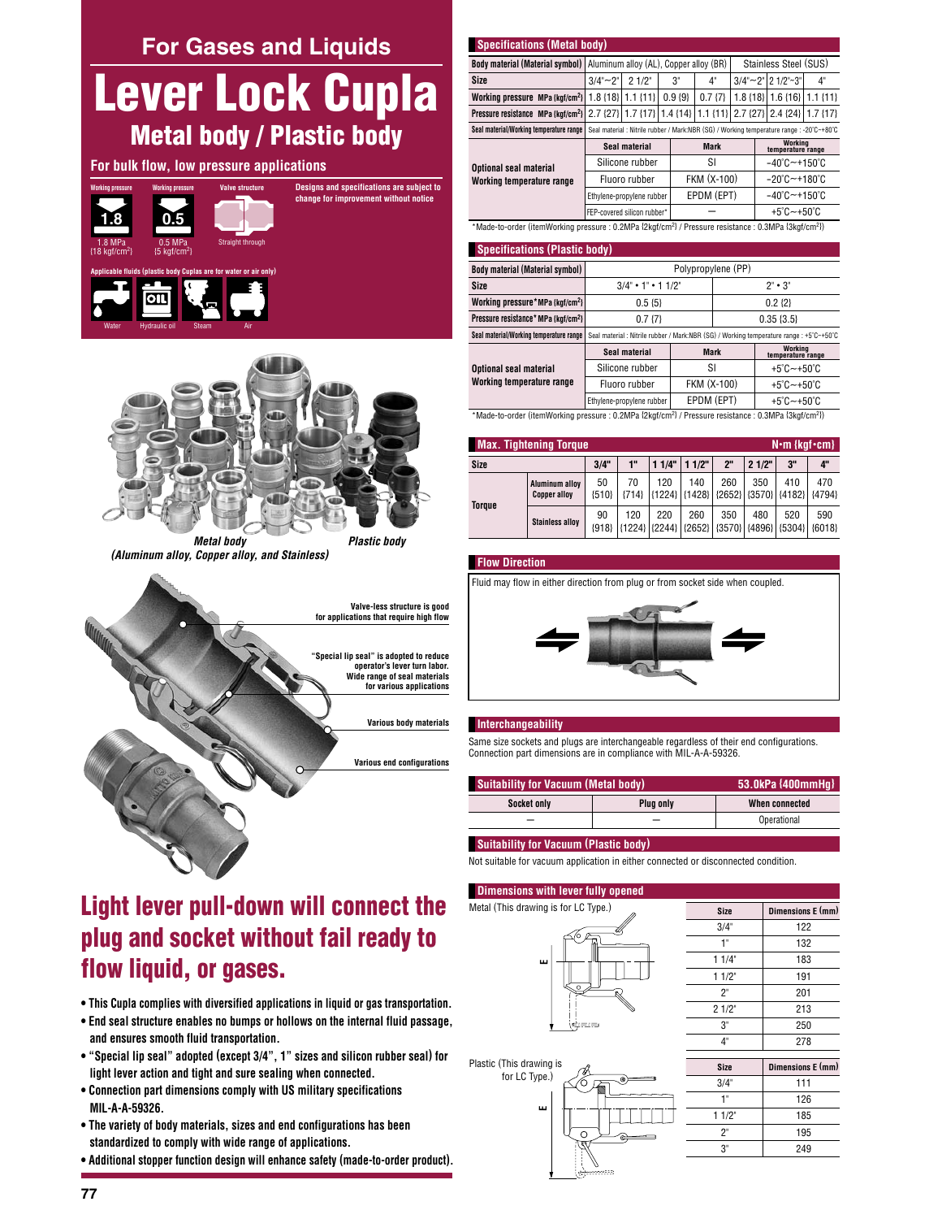**For Gases and Liquids** 

# Lever Lock Cupla **Metal body / Plastic body**

# For bulk flow, low pressure applications





**Metal body** (Aluminum alloy, Copper alloy, and Stainless)



# Light lever pull-down will connect the plug and socket without fail ready to flow liquid, or gases.

- . This Cupla complies with diversified applications in liquid or gas transportation.
- . End seal structure enables no bumps or hollows on the internal fluid passage, and ensures smooth fluid transportation.
- "Special lip seal" adopted (except 3/4", 1" sizes and silicon rubber seal) for light lever action and tight and sure sealing when connected.
- . Connection part dimensions comply with US military specifications MIL-A-A-59326.
- . The variety of body materials, sizes and end configurations has been standardized to comply with wide range of applications.
- . Additional stopper function design will enhance safety (made-to-order product).

| <b>Specifications (Metal body)</b>                                                                                                 |  |                     |             |    |                                 |  |    |  |  |  |  |
|------------------------------------------------------------------------------------------------------------------------------------|--|---------------------|-------------|----|---------------------------------|--|----|--|--|--|--|
| <b>Body material (Material symbol)</b> Aluminum alloy (AL), Copper alloy (BR)                                                      |  |                     |             |    | Stainless Steel (SUS)           |  |    |  |  |  |  |
| Size                                                                                                                               |  | $3/4$ ~ 2"   2 1/2" | $3^{\circ}$ | 4" | $3/4" \sim 2"   2 1/2" \sim 3"$ |  | 4" |  |  |  |  |
| Working pressure MPa {kgf/cm <sup>2</sup> } 1.8 {18} 1.1 {11} 0.9 {9} 0.7 {7} 1.8 {18} 1.6 {16} 1.1 {11}                           |  |                     |             |    |                                 |  |    |  |  |  |  |
| Pressure resistance MPa (kgf/cm <sup>2</sup> ) 2.7 {27} 1.7 {17} 1.4 {14} 1.1 {11} 2.7 {27} 2.4 {24} 1.7 {17}                      |  |                     |             |    |                                 |  |    |  |  |  |  |
| Seal material/Working temperature range   Seal material : Nitrile rubber / Mark:NBR (SG) / Working temperature range : -20°C~+80°C |  |                     |             |    |                                 |  |    |  |  |  |  |

|                                                                                                                              | Seal material               | <b>Mark</b> | Working<br>temperature range          |  |  |  |  |
|------------------------------------------------------------------------------------------------------------------------------|-----------------------------|-------------|---------------------------------------|--|--|--|--|
| Optional seal material                                                                                                       | Silicone rubber             | SI          | $-40^{\circ}$ C $-+150^{\circ}$ C     |  |  |  |  |
| Working temperature range                                                                                                    | Fluoro rubber               | FKM (X-100) | $-20^{\circ}$ C $-$ +180 $^{\circ}$ C |  |  |  |  |
|                                                                                                                              | Ethylene-propylene rubber   | EPDM (EPT)  | $-40^{\circ}$ C $-+150^{\circ}$ C     |  |  |  |  |
|                                                                                                                              | FEP-covered silicon rubber* |             | $+5^{\circ}$ C $-+50^{\circ}$ C       |  |  |  |  |
| *Made-to-order (itemWorking pressure : 0.2MPa {2kgf/cm <sup>2}</sup> / Pressure resistance : 0.3MPa {3kgf/cm <sup>2</sup> }) |                             |             |                                       |  |  |  |  |

#### $10<sup>2</sup>$

| <b>SUBULIFICATIONS (FIASHU DUUV)</b>            |                                         |  |                                                                                         |  |  |  |  |  |  |
|-------------------------------------------------|-----------------------------------------|--|-----------------------------------------------------------------------------------------|--|--|--|--|--|--|
| <b>Body material (Material symbol)</b>          | Polypropylene (PP)                      |  |                                                                                         |  |  |  |  |  |  |
| Size                                            | $3/4$ $\cdot$ 1 $\cdot$ 1 $1/2$ $\cdot$ |  | $2" \cdot 3"$                                                                           |  |  |  |  |  |  |
| Working pressure*MPa {kgf/cm <sup>2</sup> }     | $0.5 \{5\}$                             |  | $0.2 \{2\}$                                                                             |  |  |  |  |  |  |
| Pressure resistance* MPa {kgf/cm <sup>2</sup> } | 0.7 <sub>17</sub>                       |  | $0.35\{3.5\}$                                                                           |  |  |  |  |  |  |
| Seal material/Working temperature range         |                                         |  | Seal material : Nitrile rubber / Mark:NBR (SG) / Working temperature range : +5°C~+50°C |  |  |  |  |  |  |
|                                                 |                                         |  | Modina                                                                                  |  |  |  |  |  |  |

|                               | Seal material             | Mark          | <br>temperature range           |
|-------------------------------|---------------------------|---------------|---------------------------------|
| <b>Optional seal material</b> | Silicone rubber           |               | $+5^{\circ}$ C $-+50^{\circ}$ C |
| Working temperature range     | Fluoro rubber             | FKM (X-100)   | $+5^{\circ}$ C $-+50^{\circ}$ C |
|                               | Ethylene-propylene rubber | EPDM (EPT)    | $+5^{\circ}$ C $-+50^{\circ}$ C |
| $\cdots$<br>.                 | ----- -- -                | $\sim$ $\sim$ | $\sim$<br>----- -- --           |

(hade-to-order (itemWorking pressure : 0.2MPa {2kgf/cm²} / Pressure resistance : 0.3MPa {3kgf/cm²} "

| <b>Max. Tightening Torque</b><br>$N \cdot m$ {kgf $\cdot$ cm} |                                              |               |               |       |       |     |       |                                                                     |     |
|---------------------------------------------------------------|----------------------------------------------|---------------|---------------|-------|-------|-----|-------|---------------------------------------------------------------------|-----|
| Size                                                          |                                              | 3/4"          | 1"            | 11/4" | 11/2" | 2"  | 21/2" | 3"                                                                  | 4"  |
|                                                               | <b>Aluminum alloy</b><br><b>Copper alloy</b> | 50<br>${510}$ | 70<br>${714}$ | 120   | 140   | 260 | 350   | 410<br> {1224} {1428} {2652} {3570} {4182} {4794}                   | 470 |
| <b>Torque</b>                                                 | <b>Stainless alloy</b>                       | 90<br>${918}$ | 120           | 220   | 260   | 350 | 480   | 520<br>{1224}   {2244}   {2652}   {3570}   {4896}   {5304}   {6018} | 590 |

## **Flow Direction**

Fluid may flow in either direction from plug or from socket side when coupled.



#### Interchangeability

Same size sockets and plugs are interchangeable regardless of their end configurations. Connection part dimensions are in compliance with MIL-A-A-59326.

| <b>Suitability for Vacuum (Metal body)</b> | 53.0kPa {400mmHq} |                |
|--------------------------------------------|-------------------|----------------|
| Socket only                                | Plua only         | When connected |
|                                            |                   | Operational    |

### **Suitability for Vacuum (Plastic body)**

Not suitable for vacuum application in either connected or disconnected condition.

# **Dimensions with lever fully opened** Metal (This drawing is for LC Type.)  $\frac{1}{\sqrt{2}}$ Plastic (This drawing is for LC Type.)



| <b>Size</b> | Dimensions E (mm) |
|-------------|-------------------|
| $3/4$ "     | 122               |
| 1"          | 132               |
| 11/4"       | 183               |
| 11/2        | 191               |
| $2^{\circ}$ | 201               |
| 21/2"       | 213               |
| 3"          | 250               |
| $4^{\circ}$ | 278               |
|             |                   |
| <b>Size</b> | Dimensions E (mm) |
| 3/4"        | 111               |
| $1^{\circ}$ | 126               |
| $11/2$ "    | 185               |

195

 $249$ 

 $2^{\circ}$ 

 $3"$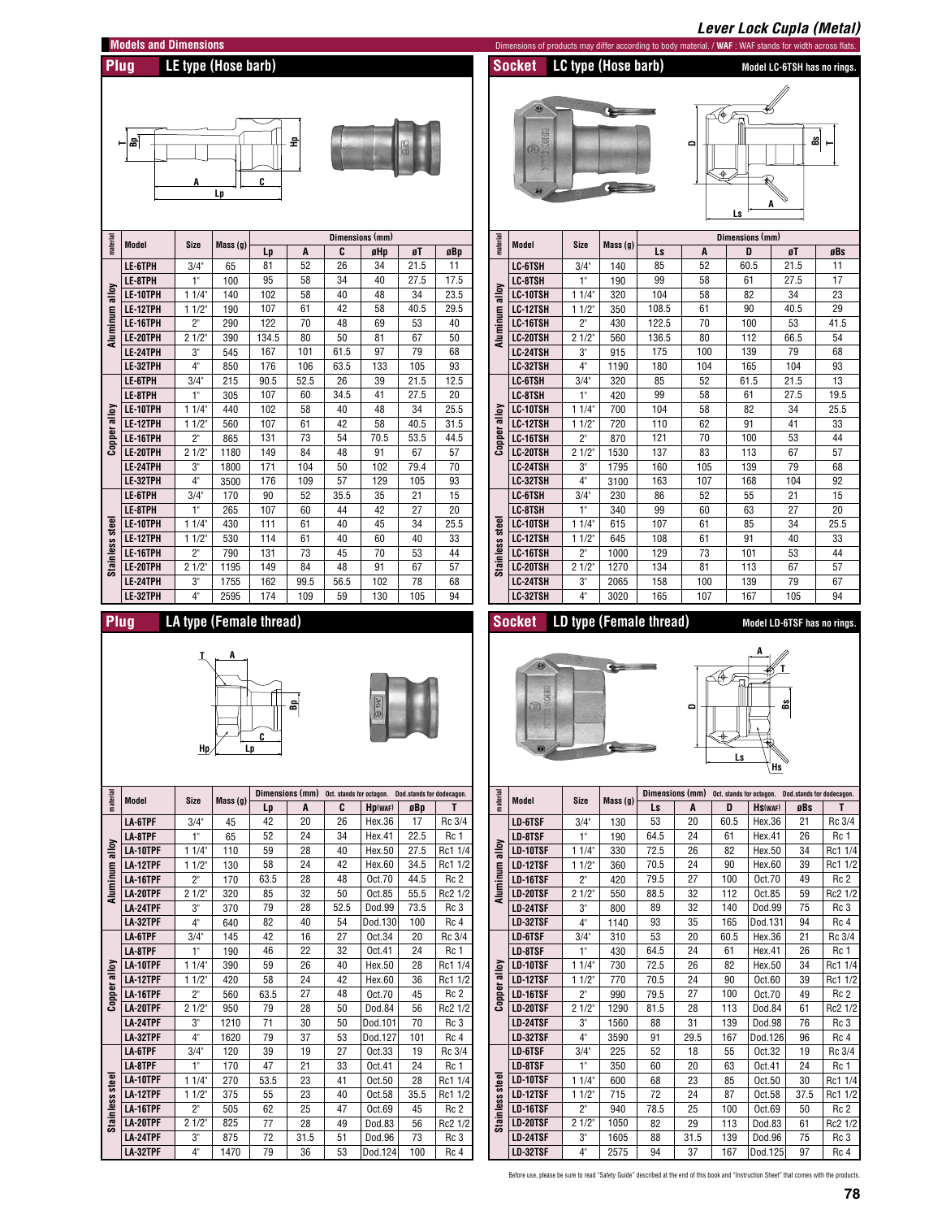

LA-12TPF

**LA-16TPF** 

**I A-20TPF** 

LA-24TPF

**I A-32TPF** 

Stainless

 $11/2$ 

 $2^{\circ}$ 

 $21/2$ 

 $3^{\circ}$ 

 $\overline{4}$ 

375

505

825

875

1470

55

62

77

72

 $\overline{79}$ 

 $23$ 

 $25$ 

 $\overline{28}$ 

 $31.5$ 

 $\overline{36}$ 

40

47

 $49$ 

51

 $\overline{53}$ 

 $Oct.58$ 

Oct.69

Dod.83

Dod.96

Dod.124

35.5

45

 $56$ 

73

 $\overline{100}$ 

Rc1 1/2

Rc<sub>2</sub>

 $Rc2$  1/2

Rc<sub>3</sub>

 $Rc4$ 

LD-12TSF

**LD-16TSF** 

**ID-20TSF** 

LD-24TSF

**ID-32TSF** 

Stainless

 $11/2$ 

 $2<sup>n</sup>$ 

 $21/2$ 

 $3'$ 

 $\overline{4}$ 

 $715$ 

940

 $1050$ 

1605

2575

72

78.5

82

88

 $Q_4$ 

 $\overline{37}$ Before use, please be sure to read "Safety Guide" described at the end of this book and "Instruction Sheet" that comes with the products

 $24$ 

25

 $\overline{29}$ 

 $31.5$ 

87

100

 $113$ 

139

 $167$ 

 $Oct.58$ 

Oct.69

Dod.83

Dod.96

Dod.125

37.5

50

61

75

 $\overline{q}$ 

Rc1 1/2

Rc<sub>2</sub>

 $Rc2$  1/2

Rc<sub>3</sub>

 $Rc$  4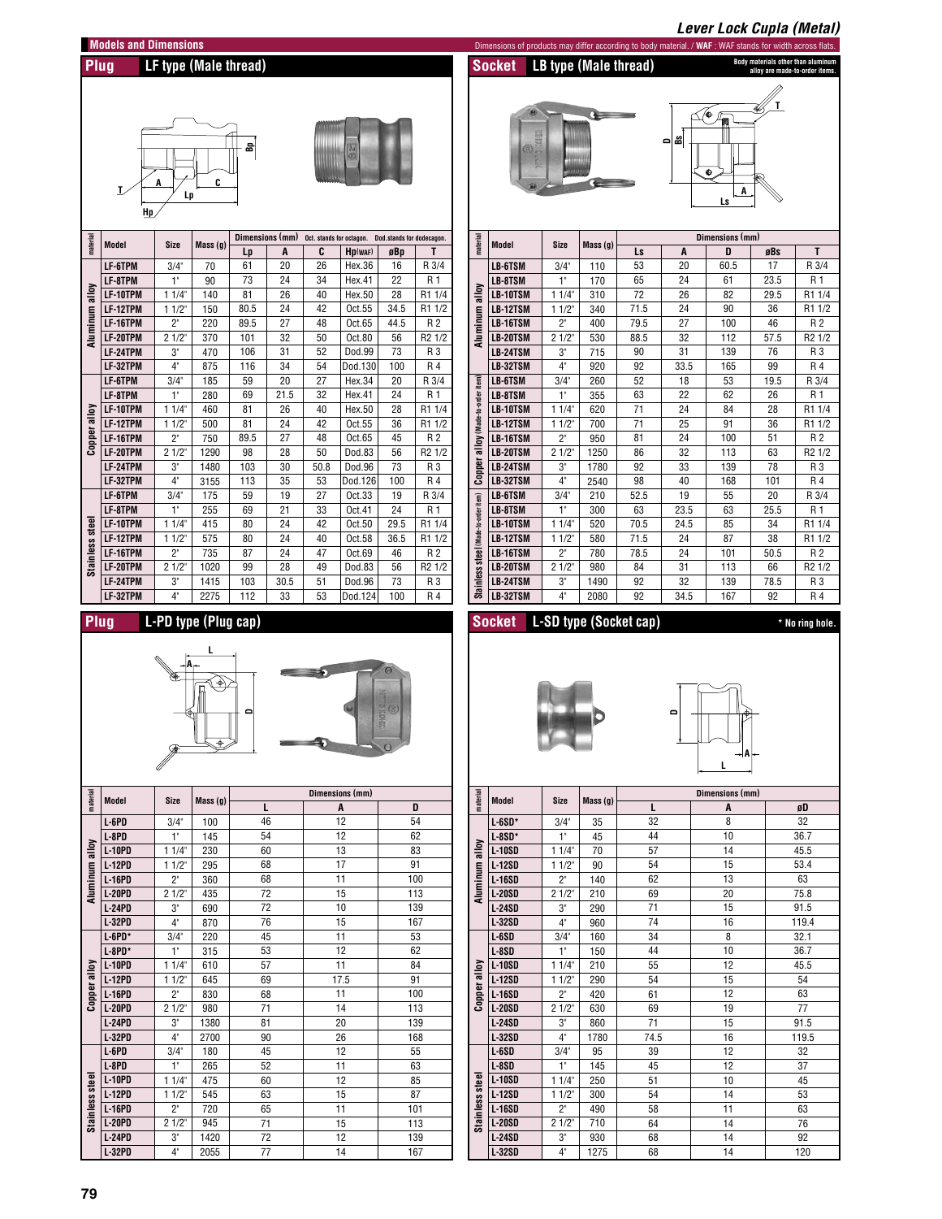|                |                                |                      |                       |                       |          |                                                         |                   |               |                    |                                      |                                                                                                          |                               |                       |                        |                     | <b>Lever Lock Cupla (Metal)</b> |           |                                                                      |
|----------------|--------------------------------|----------------------|-----------------------|-----------------------|----------|---------------------------------------------------------|-------------------|---------------|--------------------|--------------------------------------|----------------------------------------------------------------------------------------------------------|-------------------------------|-----------------------|------------------------|---------------------|---------------------------------|-----------|----------------------------------------------------------------------|
|                | <b>Models and Dimensions</b>   |                      |                       |                       |          |                                                         |                   |               |                    |                                      | Dimensions of products may differ according to body material. / WAF : WAF stands for width across flats. |                               |                       |                        |                     |                                 |           |                                                                      |
| Plug           |                                |                      | LF type (Male thread) |                       |          |                                                         |                   |               |                    |                                      | <b>Socket</b>                                                                                            |                               | LB type (Male thread) |                        |                     |                                 |           | Body materials other than aluminum<br>alloy are made-to-order items. |
|                |                                |                      |                       |                       |          |                                                         |                   |               |                    |                                      |                                                                                                          |                               |                       |                        |                     |                                 |           |                                                                      |
|                |                                |                      |                       |                       |          |                                                         |                   |               |                    |                                      |                                                                                                          |                               |                       |                        |                     |                                 |           |                                                                      |
|                |                                |                      |                       |                       |          |                                                         |                   |               |                    |                                      |                                                                                                          |                               |                       |                        |                     | A.                              |           |                                                                      |
|                |                                |                      |                       |                       |          |                                                         |                   |               |                    |                                      |                                                                                                          |                               |                       |                        | జ<br>$\blacksquare$ |                                 |           |                                                                      |
|                |                                |                      |                       | 욺                     |          |                                                         |                   |               |                    |                                      |                                                                                                          |                               |                       |                        |                     |                                 |           |                                                                      |
|                |                                |                      |                       |                       |          |                                                         |                   |               |                    |                                      |                                                                                                          |                               |                       |                        |                     | ٠                               |           |                                                                      |
|                |                                |                      | C                     |                       |          |                                                         |                   |               |                    |                                      |                                                                                                          |                               |                       |                        |                     |                                 |           |                                                                      |
|                |                                | Lp                   |                       |                       |          |                                                         |                   |               |                    |                                      |                                                                                                          |                               |                       |                        |                     | A<br>Ls                         |           |                                                                      |
|                | Hp                             |                      |                       |                       |          |                                                         |                   |               |                    |                                      |                                                                                                          |                               |                       |                        |                     |                                 |           |                                                                      |
|                |                                |                      |                       |                       |          |                                                         |                   |               |                    |                                      |                                                                                                          |                               |                       |                        |                     |                                 |           |                                                                      |
| material       | Model                          | <b>Size</b>          | Mass(g)               | Dimensions (mm)<br>Lp | A        | Oct. stands for octagon. Dod.stands for dodecagon.<br>C | Hp(wAF)           | øBp           | Т                  | material                             | Model                                                                                                    | <b>Size</b>                   | Mass(g)               | Ls                     | A                   | Dimensions (mm)<br>D            | øBs       | T                                                                    |
|                | LF-6TPM                        | 3/4                  | 70                    | 61                    | 20       | 26                                                      | Hex.36            | 16            | R 3/4              |                                      | LB-6TSM                                                                                                  | 3/4                           | 110                   | 53                     | 20                  | 60.5                            | 17        | R 3/4                                                                |
|                | LF-8TPM                        | 1"                   | 90                    | 73                    | 24       | 34                                                      | Hex.41            | 22            | R 1                |                                      | LB-8TSM                                                                                                  | $1^{\circ}$                   | 170                   | 65                     | 24                  | 61                              | 23.5      | R 1                                                                  |
|                | LF-10TPM                       | 11/4                 | 140                   | 81                    | 26       | 40                                                      | Hex.50            | 28            | R1 1/4             | alloy                                | LB-10TSM                                                                                                 | 11/4"                         | 310                   | 72                     | 26                  | 82                              | 29.5      | R1 1/4                                                               |
|                | LF-12TPM                       | 11/2                 | 150                   | 80.5                  | 24       | 42                                                      | Oct.55            | 34.5          | R1 1/2             |                                      | LB-12TSM                                                                                                 | 11/2                          | 340                   | 71.5                   | 24                  | 90                              | 36        | R1 1/2                                                               |
| Aluminum alloy | LF-16TPM                       | 2"                   | 220                   | 89.5                  | 27       | 48                                                      | Oct.65            | 44.5          | R 2                | <b>Aluminum</b>                      | LB-16TSM                                                                                                 | $2^{\circ}$                   | 400                   | 79.5                   | 27                  | 100                             | 46        | R 2                                                                  |
|                | LF-20TPM                       | 21/2                 | 370                   | 101                   | 32       | 50                                                      | Oct.80            | 56            | R <sub>2</sub> 1/2 |                                      | LB-20TSM                                                                                                 | 21/2                          | 530                   | 88.5                   | 32                  | 112                             | 57.5      | R <sub>2</sub> 1/2                                                   |
|                | LF-24TPM                       | 3"<br>$4^{\circ}$    | 470                   | 106<br>116            | 31<br>34 | 52<br>54                                                | Dod.99<br>Dod.130 | 73<br>100     | R 3<br>R 4         |                                      | LB-24TSM                                                                                                 | $3^{\circ}$<br>$4^{\circ}$    | 715<br>920            | 90<br>92               | 31<br>33.5          | 139<br>165                      | 76<br>99  | R 3<br>R 4                                                           |
|                | LF-32TPM<br>LF-6TPM            | 3/4"                 | 875<br>185            | 59                    | 20       | 27                                                      | Hex.34            | 20            | R 3/4              |                                      | LB-32TSM<br>LB-6TSM                                                                                      | 3/4"                          | 260                   | 52                     | 18                  | 53                              | 19.5      | R 3/4                                                                |
|                | LF-8TPM                        | 1"                   | 280                   | 69                    | 21.5     | 32                                                      | Hex.41            | 24            | R 1                | item)                                | LB-8TSM                                                                                                  | $1^{\circ}$                   | 355                   | 63                     | 22                  | 62                              | 26        | R 1                                                                  |
|                | LF-10TPM                       | 11/4                 | 460                   | 81                    | 26       | 40                                                      | Hex.50            | 28            | R1 1/4             |                                      | LB-10TSM                                                                                                 | 11/4                          | 620                   | 71                     | 24                  | 84                              | 28        | R1 1/4                                                               |
| alloy          | LF-12TPM                       | 11/2                 | 500                   | 81                    | 24       | 42                                                      | Oct.55            | 36            | R1 1/2             | Copper alloy (Made-to-order          | LB-12TSM                                                                                                 | 11/2                          | 700                   | 71                     | 25                  | 91                              | 36        | R1 1/2                                                               |
| Copper         | LF-16TPM                       | $2^{\circ}$          | 750                   | 89.5                  | 27       | 48                                                      | Oct.65            | 45            | R 2                |                                      | LB-16TSM                                                                                                 | $2^{\circ}$                   | 950                   | 81                     | 24                  | 100                             | 51        | R <sub>2</sub>                                                       |
|                | LF-20TPM                       | 21/2                 | 1290                  | 98                    | 28       | 50                                                      | Dod.83            | 56            | R <sub>2</sub> 1/2 |                                      | LB-20TSM                                                                                                 | 21/2"                         | 1250                  | 86                     | 32                  | 113                             | 63        | R2 1/2                                                               |
|                | LF-24TPM<br>LF-32TPM           | 3"<br>4"             | 1480                  | 103<br>113            | 30<br>35 | 50.8<br>53                                              | Dod.96            | 73<br>100     | R 3<br>R 4         |                                      | LB-24TSM<br>LB-32TSM                                                                                     | $3^{\circ}$<br>4 <sup>°</sup> | 1780                  | 92<br>98               | 33<br>40            | 139<br>168                      | 78<br>101 | R 3<br>R 4                                                           |
|                | LF-6TPM                        | 3/4"                 | 3155<br>175           | 59                    | 19       | 27                                                      | Dod.126<br>Oct.33 | 19            | R 3/4              |                                      | LB-6TSM                                                                                                  | $3/4$ <sup>"</sup>            | 2540<br>210           | 52.5                   | 19                  | 55                              | 20        | R 3/4                                                                |
|                | LF-8TPM                        | $1^{\circ}$          | 255                   | 69                    | 21       | 33                                                      | Oct.41            | 24            | R 1                |                                      | LB-8TSM                                                                                                  | $1^{\circ}$                   | 300                   | 63                     | 23.5                | 63                              | 25.5      | R 1                                                                  |
|                | LF-10TPM                       | 11/4                 | 415                   | 80                    | 24       | 42                                                      | Oct.50            | 29.5          | R1 1/4             |                                      | LB-10TSM                                                                                                 | 11/4                          | 520                   | 70.5                   | 24.5                | 85                              | 34        | R1 1/4                                                               |
|                | LF-12TPM                       | 11/2                 | 575                   | 80                    | 24       | 40                                                      | Oct.58            | 36.5          | R1 1/2             |                                      | LB-12TSM                                                                                                 | 11/2                          | 580                   | 71.5                   | 24                  | 87                              | 38        | R1 1/2                                                               |
| Stainless stee | LF-16TPM                       | $2^{\circ}$          | 735                   | 87                    | 24       | 47                                                      | Oct.69            | 46            | R 2                |                                      | LB-16TSM                                                                                                 | $2^{\circ}$                   | 780                   | 78.5                   | 24                  | 101                             | 50.5      | R 2                                                                  |
|                | LF-20TPM                       | 21/2                 | 1020                  | 99                    | 28       | 49                                                      | Dod.83            | 56            | R2 1/2             |                                      | LB-20TSM                                                                                                 | 21/2"                         | 980                   | 84                     | 31                  | 113                             | 66        | R2 1/2                                                               |
|                | LF-24TPM                       | 3"                   | 1415                  | 103                   | 30.5     | 51                                                      | Dod.96            | 73            | R 3                | Stainless steel (Made-to-order item) | LB-24TSM                                                                                                 | $3^{\circ}$                   | 1490                  | 92                     | 32                  | 139                             | 78.5      | R 3                                                                  |
|                | LF-32TPM                       | $4^{\circ}$          | 2275                  | 112                   | 33       | 53                                                      | Dod.124           | 100           | R 4                |                                      | LB-32TSM                                                                                                 | 4 <sup>°</sup>                | 2080                  | 92                     | 34.5                | 167                             | 92        | R4                                                                   |
| Plug           |                                |                      | L-PD type (Plug cap)  |                       |          |                                                         |                   |               |                    |                                      | <b>Socket</b>                                                                                            |                               |                       | L-SD type (Socket cap) |                     |                                 |           | * No ring hole.                                                      |
|                |                                |                      |                       |                       |          |                                                         |                   |               |                    |                                      |                                                                                                          |                               |                       |                        |                     |                                 |           |                                                                      |
|                |                                |                      |                       |                       |          |                                                         |                   |               |                    |                                      |                                                                                                          |                               |                       |                        |                     |                                 |           |                                                                      |
|                |                                |                      |                       |                       |          |                                                         |                   |               |                    |                                      |                                                                                                          |                               |                       |                        |                     |                                 |           |                                                                      |
|                |                                |                      |                       |                       |          |                                                         |                   |               |                    |                                      |                                                                                                          |                               |                       |                        |                     |                                 |           |                                                                      |
|                |                                |                      | D                     |                       |          |                                                         |                   |               |                    |                                      |                                                                                                          |                               |                       |                        |                     |                                 |           |                                                                      |
|                |                                |                      |                       |                       |          |                                                         |                   |               |                    |                                      |                                                                                                          |                               |                       |                        |                     |                                 |           |                                                                      |
|                |                                |                      |                       |                       |          |                                                         |                   | <b>PERSON</b> |                    |                                      |                                                                                                          |                               |                       |                        | ≏                   |                                 |           |                                                                      |
|                |                                |                      |                       |                       |          |                                                         |                   |               |                    |                                      |                                                                                                          |                               |                       |                        |                     |                                 |           |                                                                      |
|                |                                |                      | ±                     |                       |          |                                                         |                   |               |                    |                                      |                                                                                                          |                               |                       |                        |                     | — A                             |           |                                                                      |
|                |                                |                      |                       |                       |          |                                                         |                   |               |                    |                                      |                                                                                                          |                               |                       |                        |                     |                                 |           |                                                                      |
|                |                                |                      |                       |                       |          |                                                         | Dimensions (mm)   |               |                    |                                      |                                                                                                          |                               |                       |                        |                     | Dimensions (mm)                 |           |                                                                      |
| material       | <b>Model</b>                   | Size                 | Mass(g)               | L                     |          |                                                         | A                 |               | D                  | material                             | Model                                                                                                    | <b>Size</b>                   | Mass(g)               | L                      |                     | A                               |           | øD                                                                   |
|                | L-6PD                          | $3/4$ <sup>*</sup>   | 100                   | 46                    |          |                                                         | 12                |               | 54                 |                                      | $L-6SD*$                                                                                                 | 3/4                           | 35                    | 32                     |                     | 8                               |           | 32                                                                   |
|                | L-8PD                          | $1^{\circ}$          | 145                   | 54                    |          |                                                         | 12                |               | 62                 |                                      | L-8SD*                                                                                                   | $1^{\circ}$                   | 45                    | 44                     |                     | 10                              |           | 36.7                                                                 |
|                | <b>L-10PD</b><br>$L-12PD$      | 11/4<br>11/2         | 230<br>295            | 60<br>68              |          | 17                                                      | 13                |               | 83<br>91           | alloy                                | L-10SD<br><b>L-12SD</b>                                                                                  | 11/4<br>11/2                  | 70<br>90              | 57<br>54               |                     | 14<br>15                        |           | 45.5<br>53.4                                                         |
|                | $L-16PD$                       | $2^{\circ}$          | 360                   | 68                    |          | 11                                                      |                   |               | 100                |                                      | $1 - 16SD$                                                                                               | $2^{\circ}$                   | 140                   | 62                     |                     | 13                              |           | 63                                                                   |
|                | $L-20PD$                       | 21/2                 | 435                   | 72                    |          | 15                                                      |                   |               | 113                |                                      | <b>L-20SD</b>                                                                                            | 21/2                          | 210                   | 69                     |                     | 20                              |           | 75.8                                                                 |
| Aluminum alloy | <b>L-24PD</b>                  | 3"                   | 690                   | 72                    |          |                                                         | 10                |               | 139                | Aluminum                             | <b>L-24SD</b>                                                                                            | $3^{\circ}$                   | 290                   | 71                     |                     | 15                              |           | 91.5                                                                 |
|                | <b>L-32PD</b>                  | 4 <sup>°</sup>       | 870                   | 76                    |          | 15                                                      |                   |               | 167                |                                      | L-32SD                                                                                                   | 4 <sup>°</sup>                | 960                   | 74                     |                     | 16                              |           | 119.4                                                                |
|                | $L$ -6PD*                      | $3/4$ <sup>*</sup>   | 220                   | 45                    |          | 11                                                      |                   |               | 53                 |                                      | L-6SD                                                                                                    | 3/4                           | 160                   | 34                     |                     | 8                               |           | 32.1                                                                 |
|                | $L-8PD*$                       | $1^{\circ}$          | 315                   | 53                    |          | 12                                                      |                   |               | 62                 |                                      | L-8SD                                                                                                    | $1^{\circ}$                   | 150                   | 44                     |                     | 10                              |           | 36.7                                                                 |
|                | $L-10PD$<br><b>L-12PD</b>      | 11/4<br>11/2         | 610<br>645            | 57<br>69              |          | 11                                                      | 17.5              |               | 84<br>91           |                                      | <b>L-10SD</b><br><b>L-12SD</b>                                                                           | 11/4<br>11/2                  | 210<br>290            | 55<br>54               |                     | 12<br>15                        |           | 45.5<br>54                                                           |
|                | $L-16PD$                       | $2^{\circ}$          | 830                   | 68                    |          | 11                                                      |                   |               | 100                |                                      | <b>L-16SD</b>                                                                                            | $2^{\circ}$                   | 420                   | 61                     |                     | 12                              |           | 63                                                                   |
| Copper alloy   | <b>L-20PD</b>                  | 21/2                 | 980                   | 71                    |          | 14                                                      |                   |               | 113                | Copper alloy                         | <b>L-20SD</b>                                                                                            | 21/2                          | 630                   | 69                     |                     | 19                              |           | 77                                                                   |
|                | <b>L-24PD</b>                  | 3"                   | 1380                  | 81                    |          | 20                                                      |                   |               | 139                |                                      | <b>L-24SD</b>                                                                                            | $3^{\circ}$                   | 860                   | 71                     |                     | 15                              |           | 91.5                                                                 |
|                | <b>L-32PD</b>                  | 4 <sup>°</sup>       | 2700                  | 90                    |          |                                                         | 26                |               | 168                |                                      | <b>L-32SD</b>                                                                                            | 4 <sup>°</sup>                | 1780                  | 74.5                   |                     | 16                              |           | 119.5                                                                |
|                | $L-6PD$                        | $3/4$ <sup>*</sup>   | 180                   | 45                    |          |                                                         | 12                |               | 55                 |                                      | L-6SD                                                                                                    | 3/4                           | 95                    | 39                     |                     | 12                              |           | 32                                                                   |
|                | $L-8PD$                        | $1^{\circ}$          | 265                   | 52                    |          | 11                                                      |                   |               | 63                 |                                      | L-8SD                                                                                                    | $1^{\circ}$                   | 145                   | 45                     |                     | 12                              |           | 37                                                                   |
|                | $L-10PD$<br>$L-12PD$           | 11/4<br>11/2         | 475<br>545            | 60<br>63              |          | 12<br>15                                                |                   |               | 85<br>87           | steel                                | <b>L-10SD</b><br><b>L-12SD</b>                                                                           | 11/4<br>11/2                  | 250<br>300            | 51<br>54               |                     | 10<br>14                        |           | 45<br>53                                                             |
|                | <b>L-16PD</b>                  | 2"                   | 720                   | 65                    |          | 11                                                      |                   |               | 101                |                                      | $1 - 16SD$                                                                                               | $2^{\circ}$                   | 490                   | 58                     |                     | 11                              |           | 63                                                                   |
|                | <b>L-20PD</b>                  | 21/2                 | 945                   | 71                    |          | 15                                                      |                   |               | 113                |                                      | <b>L-20SD</b>                                                                                            | $21/2$ <sup>*</sup>           | 710                   | 64                     |                     | 14                              |           | 76                                                                   |
| Stainless stee | <b>L-24PD</b><br><b>L-32PD</b> | 3"<br>4 <sup>°</sup> | 1420<br>2055          | 72<br>77              |          | 14                                                      | 12                |               | 139<br>167         | <b>Stainless</b>                     | <b>L-24SD</b><br><b>L-32SD</b>                                                                           | $3^{\circ}$<br>4 <sup>°</sup> | 930<br>1275           | 68<br>68               |                     | 14<br>14                        |           | 92<br>120                                                            |